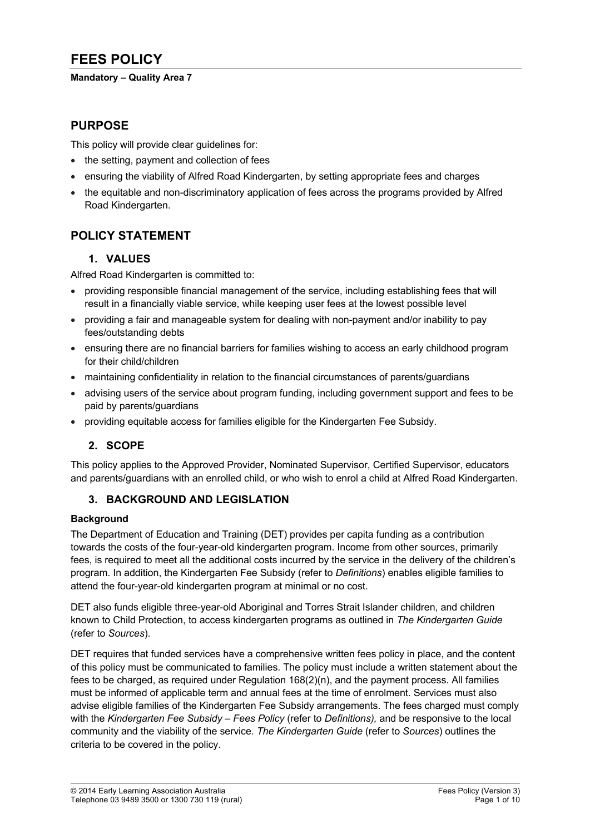# **FEES POLICY**

### **Mandatory – Quality Area 7**

## **PURPOSE**

This policy will provide clear guidelines for:

- the setting, payment and collection of fees
- ensuring the viability of Alfred Road Kindergarten, by setting appropriate fees and charges
- the equitable and non-discriminatory application of fees across the programs provided by Alfred Road Kindergarten.

# **POLICY STATEMENT**

## **1. VALUES**

Alfred Road Kindergarten is committed to:

- providing responsible financial management of the service, including establishing fees that will result in a financially viable service, while keeping user fees at the lowest possible level
- providing a fair and manageable system for dealing with non-payment and/or inability to pay fees/outstanding debts
- ensuring there are no financial barriers for families wishing to access an early childhood program for their child/children
- maintaining confidentiality in relation to the financial circumstances of parents/guardians
- advising users of the service about program funding, including government support and fees to be paid by parents/guardians
- providing equitable access for families eligible for the Kindergarten Fee Subsidy.

# **2. SCOPE**

This policy applies to the Approved Provider, Nominated Supervisor, Certified Supervisor, educators and parents/guardians with an enrolled child, or who wish to enrol a child at Alfred Road Kindergarten.

## **3. BACKGROUND AND LEGISLATION**

### **Background**

The Department of Education and Training (DET) provides per capita funding as a contribution towards the costs of the four-year-old kindergarten program. Income from other sources, primarily fees, is required to meet all the additional costs incurred by the service in the delivery of the children's program. In addition, the Kindergarten Fee Subsidy (refer to *Definitions*) enables eligible families to attend the four-year-old kindergarten program at minimal or no cost.

DET also funds eligible three-year-old Aboriginal and Torres Strait Islander children, and children known to Child Protection, to access kindergarten programs as outlined in *The Kindergarten Guide*  (refer to *Sources*).

DET requires that funded services have a comprehensive written fees policy in place, and the content of this policy must be communicated to families. The policy must include a written statement about the fees to be charged, as required under Regulation 168(2)(n), and the payment process. All families must be informed of applicable term and annual fees at the time of enrolment. Services must also advise eligible families of the Kindergarten Fee Subsidy arrangements. The fees charged must comply with the *Kindergarten Fee Subsidy – Fees Policy* (refer to *Definitions),* and be responsive to the local community and the viability of the service. *The Kindergarten Guide* (refer to *Sources*) outlines the criteria to be covered in the policy.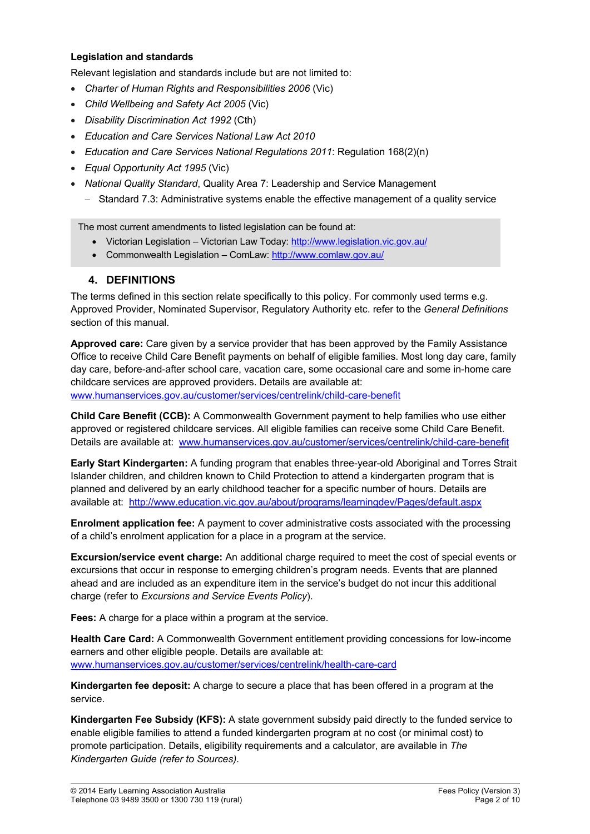#### **Legislation and standards**

Relevant legislation and standards include but are not limited to:

- *Charter of Human Rights and Responsibilities 2006* (Vic)
- *Child Wellbeing and Safety Act 2005* (Vic)
- *Disability Discrimination Act 1992* (Cth)
- *Education and Care Services National Law Act 2010*
- *Education and Care Services National Regulations 2011*: Regulation 168(2)(n)
- *Equal Opportunity Act 1995* (Vic)
- *National Quality Standard*, Quality Area 7: Leadership and Service Management
	- Standard 7.3: Administrative systems enable the effective management of a quality service

The most current amendments to listed legislation can be found at:

- Victorian Legislation Victorian Law Today: http://www.legislation.vic.gov.au/
- Commonwealth Legislation ComLaw: http://www.comlaw.gov.au/

## **4. DEFINITIONS**

The terms defined in this section relate specifically to this policy. For commonly used terms e.g. Approved Provider, Nominated Supervisor, Regulatory Authority etc. refer to the *General Definitions* section of this manual.

**Approved care:** Care given by a service provider that has been approved by the Family Assistance Office to receive Child Care Benefit payments on behalf of eligible families. Most long day care, family day care, before-and-after school care, vacation care, some occasional care and some in-home care childcare services are approved providers. Details are available at:

www.humanservices.gov.au/customer/services/centrelink/child-care-benefit

**Child Care Benefit (CCB):** A Commonwealth Government payment to help families who use either approved or registered childcare services. All eligible families can receive some Child Care Benefit. Details are available at: www.humanservices.gov.au/customer/services/centrelink/child-care-benefit

**Early Start Kindergarten:** A funding program that enables three-year-old Aboriginal and Torres Strait Islander children, and children known to Child Protection to attend a kindergarten program that is planned and delivered by an early childhood teacher for a specific number of hours. Details are available at: http://www.education.vic.gov.au/about/programs/learningdev/Pages/default.aspx

**Enrolment application fee:** A payment to cover administrative costs associated with the processing of a child's enrolment application for a place in a program at the service.

**Excursion/service event charge:** An additional charge required to meet the cost of special events or excursions that occur in response to emerging children's program needs. Events that are planned ahead and are included as an expenditure item in the service's budget do not incur this additional charge (refer to *Excursions and Service Events Policy*).

**Fees:** A charge for a place within a program at the service.

**Health Care Card:** A Commonwealth Government entitlement providing concessions for low-income earners and other eligible people. Details are available at: www.humanservices.gov.au/customer/services/centrelink/health-care-card

**Kindergarten fee deposit:** A charge to secure a place that has been offered in a program at the service.

**Kindergarten Fee Subsidy (KFS):** A state government subsidy paid directly to the funded service to enable eligible families to attend a funded kindergarten program at no cost (or minimal cost) to promote participation. Details, eligibility requirements and a calculator, are available in *The Kindergarten Guide (refer to Sources)*.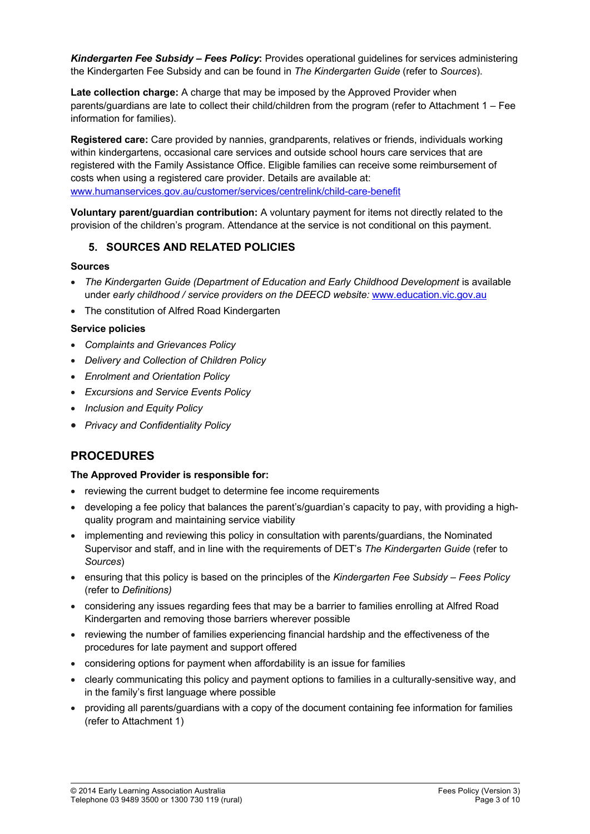*Kindergarten Fee Subsidy – Fees Policy***:** Provides operational guidelines for services administering the Kindergarten Fee Subsidy and can be found in *The Kindergarten Guide* (refer to *Sources*).

**Late collection charge:** A charge that may be imposed by the Approved Provider when parents/guardians are late to collect their child/children from the program (refer to Attachment 1 – Fee information for families).

**Registered care:** Care provided by nannies, grandparents, relatives or friends, individuals working within kindergartens, occasional care services and outside school hours care services that are registered with the Family Assistance Office. Eligible families can receive some reimbursement of costs when using a registered care provider. Details are available at: www.humanservices.gov.au/customer/services/centrelink/child-care-benefit

**Voluntary parent/guardian contribution:** A voluntary payment for items not directly related to the provision of the children's program. Attendance at the service is not conditional on this payment.

## **5. SOURCES AND RELATED POLICIES**

#### **Sources**

- *The Kindergarten Guide (Department of Education and Early Childhood Development* is available under *early childhood / service providers on the DEECD website:* www.education.vic.gov.au
- The constitution of Alfred Road Kindergarten

### **Service policies**

- *Complaints and Grievances Policy*
- *Delivery and Collection of Children Policy*
- *Enrolment and Orientation Policy*
- *Excursions and Service Events Policy*
- *Inclusion and Equity Policy*
- *Privacy and Confidentiality Policy*

# **PROCEDURES**

### **The Approved Provider is responsible for:**

- reviewing the current budget to determine fee income requirements
- developing a fee policy that balances the parent's/guardian's capacity to pay, with providing a highquality program and maintaining service viability
- implementing and reviewing this policy in consultation with parents/guardians, the Nominated Supervisor and staff, and in line with the requirements of DET's *The Kindergarten Guide* (refer to *Sources*)
- ensuring that this policy is based on the principles of the *Kindergarten Fee Subsidy – Fees Policy*  (refer to *Definitions)*
- considering any issues regarding fees that may be a barrier to families enrolling at Alfred Road Kindergarten and removing those barriers wherever possible
- reviewing the number of families experiencing financial hardship and the effectiveness of the procedures for late payment and support offered
- considering options for payment when affordability is an issue for families
- clearly communicating this policy and payment options to families in a culturally-sensitive way, and in the family's first language where possible
- providing all parents/guardians with a copy of the document containing fee information for families (refer to Attachment 1)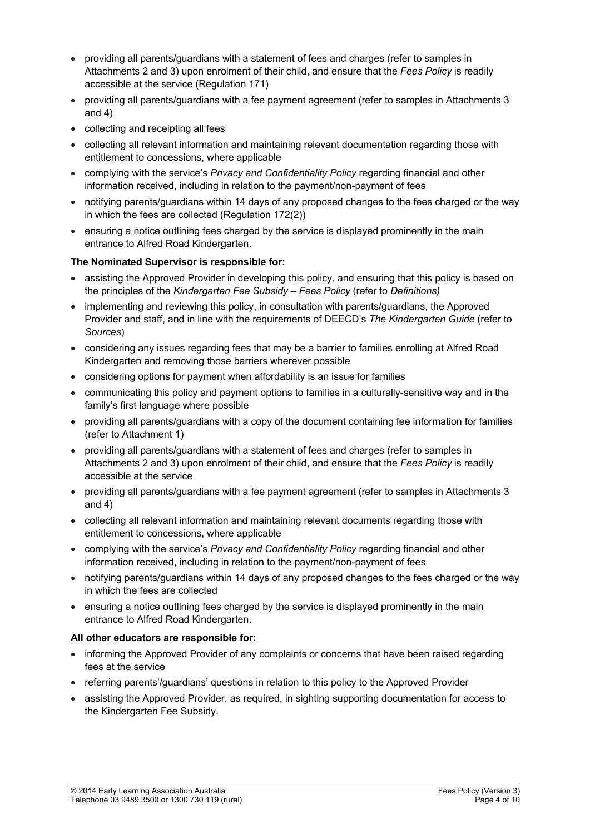- providing all parents/guardians with a statement of fees and charges (refer to samples in Attachments 2 and 3) upon enrolment of their child, and ensure that the *Fees Policy* is readily accessible at the service (Regulation 171)
- providing all parents/guardians with a fee payment agreement (refer to samples in Attachments 3 and 4)
- collecting and receipting all fees
- collecting all relevant information and maintaining relevant documentation regarding those with entitlement to concessions, where applicable
- complying with the service's *Privacy and Confidentiality Policy* regarding financial and other information received, including in relation to the payment/non-payment of fees
- notifying parents/guardians within 14 days of any proposed changes to the fees charged or the way in which the fees are collected (Regulation 172(2))
- ensuring a notice outlining fees charged by the service is displayed prominently in the main entrance to Alfred Road Kindergarten.

## **The Nominated Supervisor is responsible for:**

- assisting the Approved Provider in developing this policy, and ensuring that this policy is based on the principles of the *Kindergarten Fee Subsidy – Fees Policy* (refer to *Definitions)*
- implementing and reviewing this policy, in consultation with parents/guardians, the Approved Provider and staff, and in line with the requirements of DEECD's *The Kindergarten Guide* (refer to *Sources*)
- considering any issues regarding fees that may be a barrier to families enrolling at Alfred Road Kindergarten and removing those barriers wherever possible
- considering options for payment when affordability is an issue for families
- communicating this policy and payment options to families in a culturally-sensitive way and in the family's first language where possible
- providing all parents/guardians with a copy of the document containing fee information for families (refer to Attachment 1)
- providing all parents/guardians with a statement of fees and charges (refer to samples in Attachments 2 and 3) upon enrolment of their child, and ensure that the *Fees Policy* is readily accessible at the service
- providing all parents/guardians with a fee payment agreement (refer to samples in Attachments 3 and 4)
- collecting all relevant information and maintaining relevant documents regarding those with entitlement to concessions, where applicable
- complying with the service's *Privacy and Confidentiality Policy* regarding financial and other information received, including in relation to the payment/non-payment of fees
- notifying parents/guardians within 14 days of any proposed changes to the fees charged or the way in which the fees are collected
- ensuring a notice outlining fees charged by the service is displayed prominently in the main entrance to Alfred Road Kindergarten.

### **All other educators are responsible for:**

- informing the Approved Provider of any complaints or concerns that have been raised regarding fees at the service
- referring parents'/guardians' questions in relation to this policy to the Approved Provider
- assisting the Approved Provider, as required, in sighting supporting documentation for access to the Kindergarten Fee Subsidy.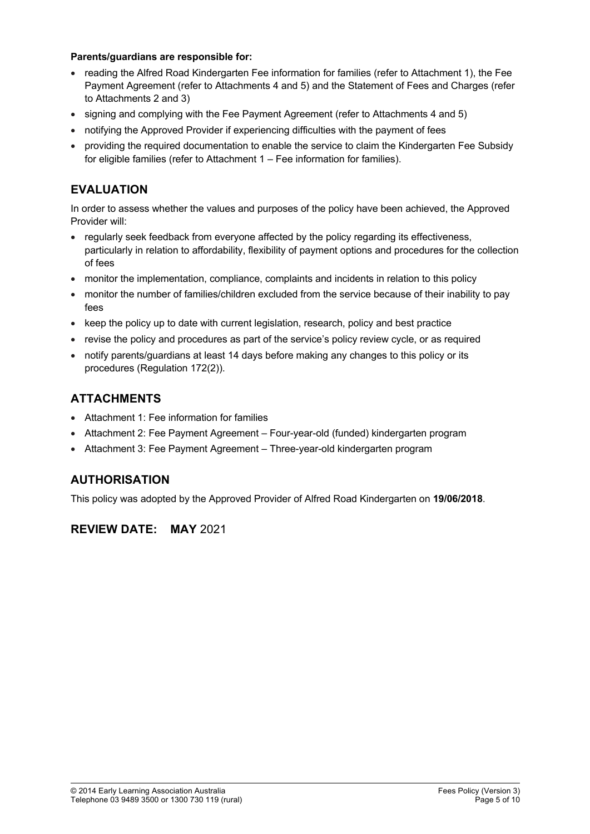#### **Parents/guardians are responsible for:**

- reading the Alfred Road Kindergarten Fee information for families (refer to Attachment 1), the Fee Payment Agreement (refer to Attachments 4 and 5) and the Statement of Fees and Charges (refer to Attachments 2 and 3)
- signing and complying with the Fee Payment Agreement (refer to Attachments 4 and 5)
- notifying the Approved Provider if experiencing difficulties with the payment of fees
- providing the required documentation to enable the service to claim the Kindergarten Fee Subsidy for eligible families (refer to Attachment 1 – Fee information for families).

# **EVALUATION**

In order to assess whether the values and purposes of the policy have been achieved, the Approved Provider will:

- regularly seek feedback from everyone affected by the policy regarding its effectiveness, particularly in relation to affordability, flexibility of payment options and procedures for the collection of fees
- monitor the implementation, compliance, complaints and incidents in relation to this policy
- monitor the number of families/children excluded from the service because of their inability to pay fees
- keep the policy up to date with current legislation, research, policy and best practice
- revise the policy and procedures as part of the service's policy review cycle, or as required
- notify parents/guardians at least 14 days before making any changes to this policy or its procedures (Regulation 172(2)).

# **ATTACHMENTS**

- Attachment 1: Fee information for families
- Attachment 2: Fee Payment Agreement Four-year-old (funded) kindergarten program
- Attachment 3: Fee Payment Agreement Three-year-old kindergarten program

# **AUTHORISATION**

This policy was adopted by the Approved Provider of Alfred Road Kindergarten on **19/06/2018**.

# **REVIEW DATE: MAY** 2021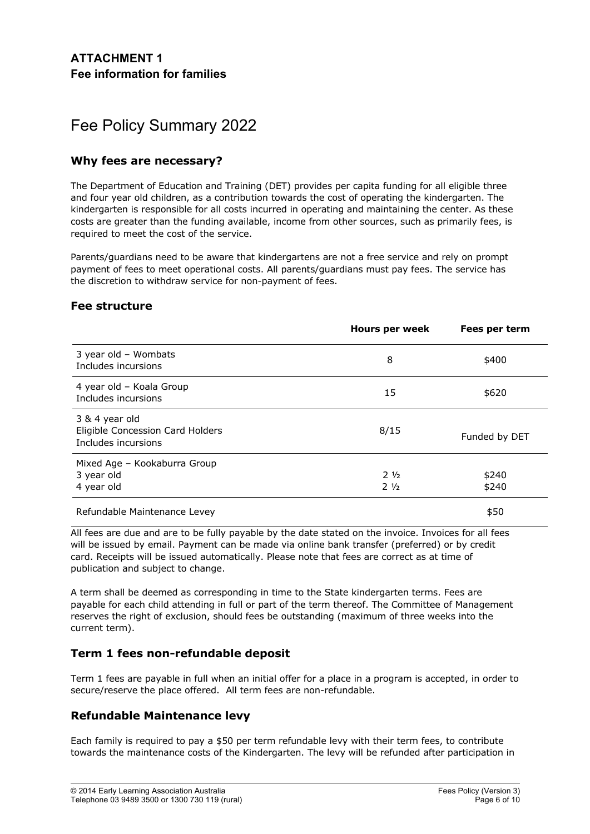# Fee Policy Summary 2022

## **Why fees are necessary?**

The Department of Education and Training (DET) provides per capita funding for all eligible three and four year old children, as a contribution towards the cost of operating the kindergarten. The kindergarten is responsible for all costs incurred in operating and maintaining the center. As these costs are greater than the funding available, income from other sources, such as primarily fees, is required to meet the cost of the service.

Parents/guardians need to be aware that kindergartens are not a free service and rely on prompt payment of fees to meet operational costs. All parents/guardians must pay fees. The service has the discretion to withdraw service for non-payment of fees.

## **Fee structure**

|                                                                           | <b>Hours per week</b>            | Fees per term  |
|---------------------------------------------------------------------------|----------------------------------|----------------|
| 3 year old - Wombats<br>Includes incursions                               | 8                                | \$400          |
| 4 year old - Koala Group<br>Includes incursions                           | 15                               | \$620          |
| 3 & 4 year old<br>Eligible Concession Card Holders<br>Includes incursions | 8/15                             | Funded by DET  |
| Mixed Age - Kookaburra Group<br>3 year old<br>4 year old                  | $2\frac{1}{2}$<br>$2\frac{1}{2}$ | \$240<br>\$240 |
| Refundable Maintenance Levey                                              |                                  | \$50           |

All fees are due and are to be fully payable by the date stated on the invoice. Invoices for all fees will be issued by email. Payment can be made via online bank transfer (preferred) or by credit card. Receipts will be issued automatically. Please note that fees are correct as at time of publication and subject to change.

A term shall be deemed as corresponding in time to the State kindergarten terms. Fees are payable for each child attending in full or part of the term thereof. The Committee of Management reserves the right of exclusion, should fees be outstanding (maximum of three weeks into the current term).

## **Term 1 fees non-refundable deposit**

Term 1 fees are payable in full when an initial offer for a place in a program is accepted, in order to secure/reserve the place offered. All term fees are non-refundable.

# **Refundable Maintenance levy**

Each family is required to pay a \$50 per term refundable levy with their term fees, to contribute towards the maintenance costs of the Kindergarten. The levy will be refunded after participation in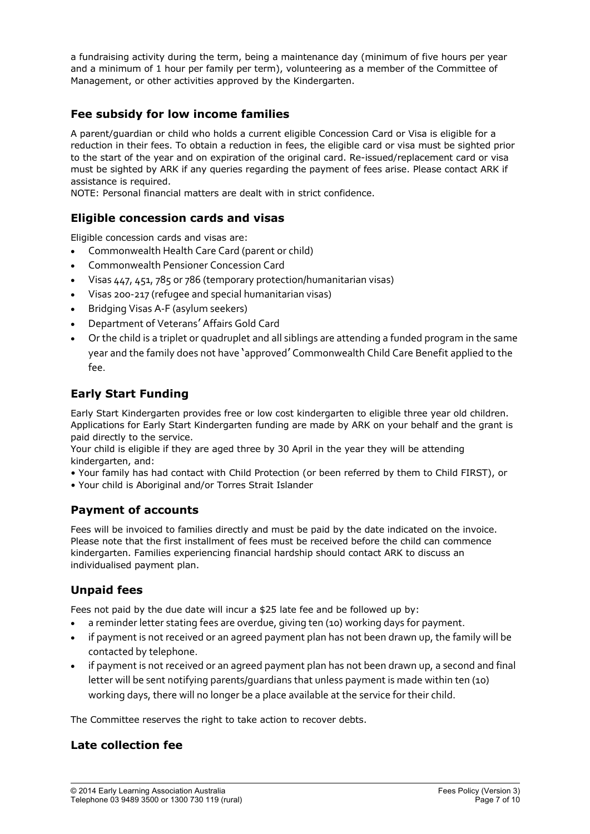a fundraising activity during the term, being a maintenance day (minimum of five hours per year and a minimum of 1 hour per family per term), volunteering as a member of the Committee of Management, or other activities approved by the Kindergarten.

# **Fee subsidy for low income families**

A parent/guardian or child who holds a current eligible Concession Card or Visa is eligible for a reduction in their fees. To obtain a reduction in fees, the eligible card or visa must be sighted prior to the start of the year and on expiration of the original card. Re-issued/replacement card or visa must be sighted by ARK if any queries regarding the payment of fees arise. Please contact ARK if assistance is required.

NOTE: Personal financial matters are dealt with in strict confidence.

## **Eligible concession cards and visas**

Eligible concession cards and visas are:

- Commonwealth Health Care Card (parent or child)
- Commonwealth Pensioner Concession Card
- Visas 447, 451, 785 or 786 (temporary protection/humanitarian visas)
- Visas 200-217 (refugee and special humanitarian visas)
- Bridging Visas A-F (asylum seekers)
- Department of Veterans' Affairs Gold Card
- Or the child is a triplet or quadruplet and all siblings are attending a funded program in the same year and the family does not have 'approved' Commonwealth Child Care Benefit applied to the fee.

# **Early Start Funding**

Early Start Kindergarten provides free or low cost kindergarten to eligible three year old children. Applications for Early Start Kindergarten funding are made by ARK on your behalf and the grant is paid directly to the service.

Your child is eligible if they are aged three by 30 April in the year they will be attending kindergarten, and:

• Your family has had contact with Child Protection (or been referred by them to Child FIRST), or

• Your child is Aboriginal and/or Torres Strait Islander

# **Payment of accounts**

Fees will be invoiced to families directly and must be paid by the date indicated on the invoice. Please note that the first installment of fees must be received before the child can commence kindergarten. Families experiencing financial hardship should contact ARK to discuss an individualised payment plan.

# **Unpaid fees**

Fees not paid by the due date will incur a \$25 late fee and be followed up by:

- a reminder letter stating fees are overdue, giving ten (10) working days for payment.
- if payment is not received or an agreed payment plan has not been drawn up, the family will be contacted by telephone.
- if payment is not received or an agreed payment plan has not been drawn up, a second and final letter will be sent notifying parents/guardians that unless payment is made within ten (10) working days, there will no longer be a place available at the service for their child.

The Committee reserves the right to take action to recover debts.

## **Late collection fee**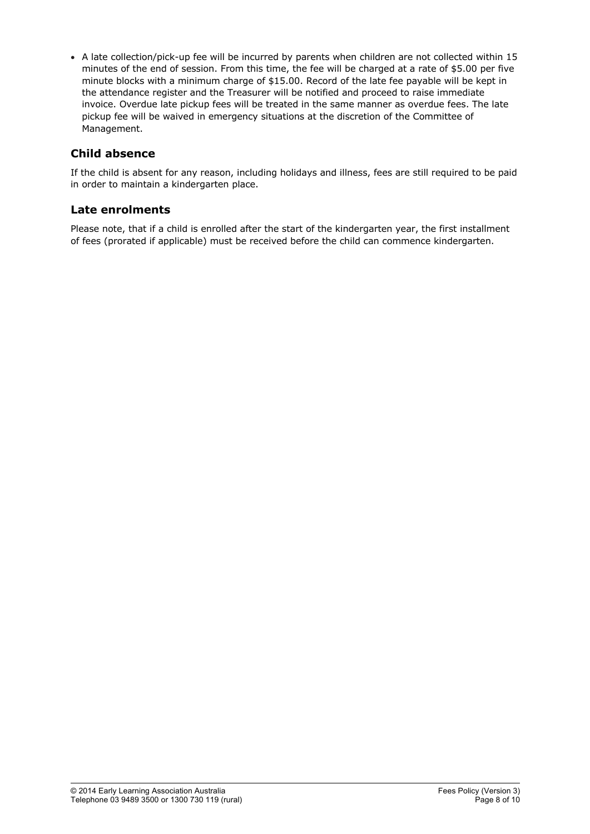• A late collection/pick-up fee will be incurred by parents when children are not collected within 15 minutes of the end of session. From this time, the fee will be charged at a rate of \$5.00 per five minute blocks with a minimum charge of \$15.00. Record of the late fee payable will be kept in the attendance register and the Treasurer will be notified and proceed to raise immediate invoice. Overdue late pickup fees will be treated in the same manner as overdue fees. The late pickup fee will be waived in emergency situations at the discretion of the Committee of Management.

# **Child absence**

If the child is absent for any reason, including holidays and illness, fees are still required to be paid in order to maintain a kindergarten place.

## **Late enrolments**

Please note, that if a child is enrolled after the start of the kindergarten year, the first installment of fees (prorated if applicable) must be received before the child can commence kindergarten.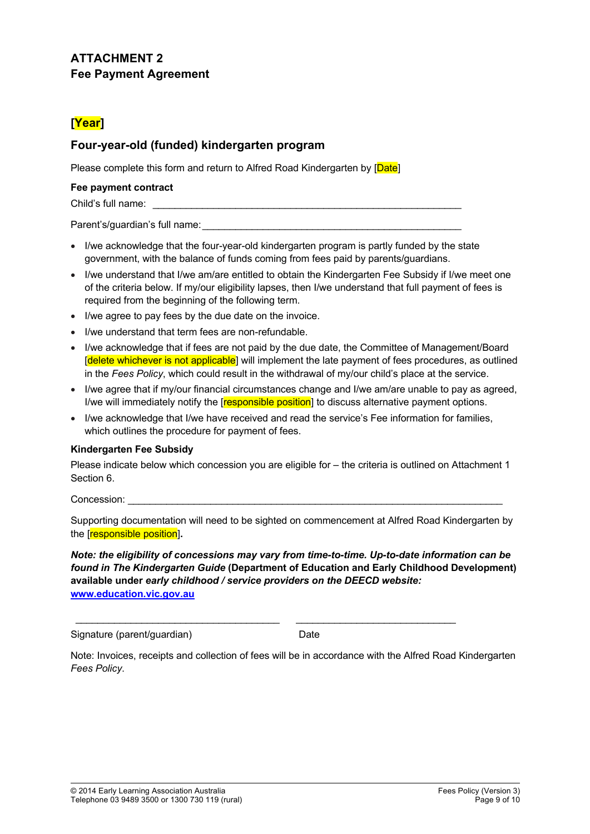# **ATTACHMENT 2 Fee Payment Agreement**

# **[Year]**

# **Four-year-old (funded) kindergarten program**

Please complete this form and return to Alfred Road Kindergarten by [Date]

#### **Fee payment contract**

Child's full name:

Parent's/quardian's full name:

- I/we acknowledge that the four-year-old kindergarten program is partly funded by the state government, with the balance of funds coming from fees paid by parents/guardians.
- I/we understand that I/we am/are entitled to obtain the Kindergarten Fee Subsidy if I/we meet one of the criteria below. If my/our eligibility lapses, then I/we understand that full payment of fees is required from the beginning of the following term.
- I/we agree to pay fees by the due date on the invoice.
- I/we understand that term fees are non-refundable.
- I/we acknowledge that if fees are not paid by the due date, the Committee of Management/Board [delete whichever is not applicable] will implement the late payment of fees procedures, as outlined in the *Fees Policy*, which could result in the withdrawal of my/our child's place at the service.
- I/we agree that if my/our financial circumstances change and I/we am/are unable to pay as agreed, I/we will immediately notify the [responsible position] to discuss alternative payment options.
- I/we acknowledge that I/we have received and read the service's Fee information for families, which outlines the procedure for payment of fees.

### **Kindergarten Fee Subsidy**

Please indicate below which concession you are eligible for – the criteria is outlined on Attachment 1 Section 6.

Concession:

Supporting documentation will need to be sighted on commencement at Alfred Road Kindergarten by the [responsible position]**.**

#### *Note: the eligibility of concessions may vary from time-to-time. Up-to-date information can be found in The Kindergarten Guide* **(Department of Education and Early Childhood Development) available under** *early childhood / service providers on the DEECD website:* **www.education.vic.gov.au**

Signature (parent/guardian) Date

Note: Invoices, receipts and collection of fees will be in accordance with the Alfred Road Kindergarten *Fees Policy*.

 $\mathcal{L}_\mathcal{L} = \{ \mathcal{L}_\mathcal{L} = \{ \mathcal{L}_\mathcal{L} = \{ \mathcal{L}_\mathcal{L} = \{ \mathcal{L}_\mathcal{L} = \{ \mathcal{L}_\mathcal{L} = \{ \mathcal{L}_\mathcal{L} = \{ \mathcal{L}_\mathcal{L} = \{ \mathcal{L}_\mathcal{L} = \{ \mathcal{L}_\mathcal{L} = \{ \mathcal{L}_\mathcal{L} = \{ \mathcal{L}_\mathcal{L} = \{ \mathcal{L}_\mathcal{L} = \{ \mathcal{L}_\mathcal{L} = \{ \mathcal{L}_\mathcal{$